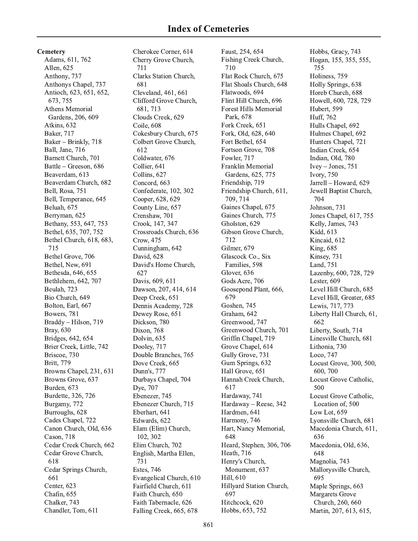Cemetery Adams, 611, 762 Allen, 625 Anthony, 737 Anthonys Chapel, 737 Antioch, 623, 651, 652, 673, 755 Athens Memorial Gardens, 206, 609 Atkins, 632 **Baker**, 717 Baker - Brinkly, 718 Ball, Jane, 716 Barnett Church, 701 Battle - Greeson, 686 Beaverdam, 613 Beaverdam Church, 682 Bell, Rosa, 751 Bell, Temperance, 645 Beluah, 675 Berryman, 625 Bethany, 553, 647, 753 Bethel, 635, 707, 752 Bethel Church, 618, 683, 715 Bethel Grove, 706 Bethel, New, 691 Bethesda, 646, 655 Bethlehem, 642, 707 Beulah, 723 Bio Church, 649 Bolton, Earl, 667 Bowers, 781 Braddy - Hilson, 719 Bray, 630 Bridges, 642, 654 Brier Creek, Little, 742 Briscoe, 730 Britt, 779 Browns Chapel, 231, 631 Browns Grove, 637 Burden, 673 Burdette, 326, 726 Burgamy, 772 Burroughs, 628 Cades Chapel, 722 Canon Church, Old, 636 Cason, 718 Cedar Creek Church, 662 Cedar Grove Church, 618 Cedar Springs Church, 661 Center, 623 Chafin. 655 Chalker, 743 Chandler, Tom, 611

Cherokee Corner, 614 Cherry Grove Church, 711 Clarks Station Church, 681 Cleveland, 461, 661 Clifford Grove Church, 681, 713 Clouds Creek, 629 Coile, 608 Cokesbury Church, 675 Colbert Grove Church, 612 Coldwater, 676 Collier, 641 Collins, 627 Concord, 663 Confederate, 102, 302 Cooper, 628, 629 County Line, 657 Crenshaw, 701 Crook, 147, 347 Crossroads Church, 636 Crow, 475 Cunningham, 642 David, 628 David's Home Church, 627 Davis, 609, 611 Dawson, 207, 414, 614 Deep Creek, 651 Dennis Academy, 728 Dewey Rose, 651 Dickson, 780 Dixon, 768 Dolvin, 635 Dooley, 717 Double Branches, 765 Dove Creek, 665 Dunn's, 777 Durbays Chapel, 704 Dye, 707 Ebenezer, 745 Ebenezer Church, 715 Eberhart, 641 Edwards, 622 Elam (Elim) Church, 102, 302 Elim Church, 702 English, Martha Ellen, 731 **Estes**, 746 Evangelical Church, 610 Fairfield Church, 611 Faith Church, 650 Faith Tabernacle, 626 Falling Creek, 665, 678

Faust, 254, 654 Fishing Creek Church, 710 Flat Rock Church, 675 Flat Shoals Church, 648 Flatwoods, 694 Flint Hill Church, 696 **Forest Hills Memorial** Park, 678 Fork Creek, 651 Fork, Old, 628, 640 Fort Bethel, 654 Fortson Grove, 708 Fowler, 717 Franklin Memorial Gardens, 625, 775 Friendship, 719 Friendship Church, 611, 709, 714 Gaines Chapel, 675 Gaines Church, 775 Gholston, 629 Gibson Grove Church, 712 Gilmer, 679 Glascock Co., Six Families, 598 Glover, 636 Gods Acre, 706 Goosepond Plant, 666, 679 Goshen, 745 Graham, 642 Greenwood, 747 Greenwood Church, 701 Griffin Chapel, 719 Grove Chapel, 614 Gully Grove, 731 Gum Springs, 632 Hall Grove, 651 Hannah Creek Church, 617 Hardaway, 741 Hardaway - Reese, 342 Hardmen, 641 Harmony, 746 Hart, Nancy Memorial, 648 Heard, Stephen, 306, 706 Heath, 716 Henry's Church, Monument, 637 Hill, 610 Hillyard Station Church, 697 Hitchcock, 620 Hobbs, 653, 752

Hobbs, Gracy, 743 Hogan, 155, 355, 555, 755 Holiness, 759 Holly Springs, 638 Horeb Church, 688 Howell, 600, 728, 729 Hubert, 599 Huff, 762 Hulls Chapel, 692 Hulmes Chapel, 692 Hunters Chapel, 721 Indian Creek, 654 Indian, Old, 780  $Ivey-Jones, 751$ **Ivory, 750** Jarrell - Howard, 629 Jewell Baptist Church, 704 Johnson, 731 Jones Chapel, 617, 755 Kelly, James, 743 Kidd, 613 Kincaid, 612 **King**, 685 Kinsey, 731 Land, 751 Lazenby, 600, 728, 729 Lester, 609 Level Hill Church, 685 Level Hill, Greater, 685 Lewis, 717, 773 Liberty Hall Church, 61, 662 Liberty, South, 714 Linesville Church, 681 Lithonia, 730 Loco, 747 Locust Grove, 300, 500, 600,700 Locust Grove Catholic, 500 Locust Grove Catholic, Location of, 500 Low Lot, 659 Lyonsville Church, 681 Macedonia Church, 611, 636 Macedonia, Old, 636, 648 Magnolia, 743 Mallorysville Church, 695 Maple Springs, 663 **Margarets Grove** Church, 260, 660 Martin, 207, 613, 615,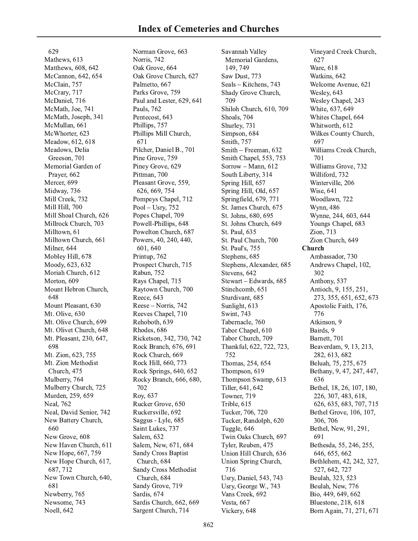629 Mathews, 613 Matthews, 608, 642 McCannon, 642, 654 McClain, 757 McCrary, 717 McDaniel, 716 McMath, Joe, 741 McMath, Joseph, 341 McMullan, 661 McWhorter, 623 Meadow, 612, 618 Meadows, Delia Greeson, 701 Memorial Garden of Prayer, 662 Mercer, 699 Midway, 736 Mill Creek, 732 Mill Hill, 700 Mill Shoal Church, 626 Millrock Church, 703 Milltown, 61 Milltown Church, 661 Milner, 644 Mobley Hill, 678 Moody, 623, 632 Moriah Church, 612 Morton, 609 Mount Hebron Church, 648 Mount Pleasant, 630 Mt. Olive, 630 Mt. Olive Church, 699 Mt. Olivet Church, 648 Mt. Pleasant, 230, 647, 698 Mt. Zion, 623, 755 Mt. Zion Methodist Church, 475 Mulberry, 764 Mulberry Church, 725 Murden, 259, 659 Neal, 762 Neal, David Senior, 742 New Battery Church, 660 New Grove, 608 New Haven Church, 611 New Hope, 667, 759 New Hope Church, 617, 687, 712 New Town Church, 640, 681 Newberry, 765 Newsome, 743 Noell, 642

Norman Grove, 663 Norris, 742 Oak Grove, 664 Oak Grove Church, 627 Palmetto, 667 Parks Grove, 759 Paul and Lester, 629, 641 Pauls, 762 Pentecost, 643 Phillips, 757 Phillips Mill Church, 671 Pilcher, Daniel B., 701 Pine Grove, 759 Piney Grove, 629 Pittman, 700 Pleasant Grove, 559, 626, 669, 754 Pompeys Chapel, 712 Pool - Usry,  $752$ Popes Chapel, 709 Powell-Phillips, 648 Powelton Church, 687 Powers, 40, 240, 440, 601, 640 Printup, 762 Prospect Church, 715 Rabun, 752 Rays Chapel, 715 Raytown Church, 700 Reece, 643 Reese – Norris, 742 Reeves Chapel, 710 Rehoboth, 639 Rhodes, 686 Ricketson, 342, 730, 742 Rock Branch, 676, 691 Rock Church, 669 Rock Hill, 660, 773 Rock Springs, 640, 652 Rocky Branch, 666, 680, 702 Roy, 637 Rucker Grove, 650 Ruckersville, 692 Saggus - Lyle, 685 Saint Lukes, 737 Salem, 632 Salem, New, 671, 684 **Sandy Cross Baptist** Church, 684 Sandy Cross Methodist Church, 684 Sandy Grove, 719 Sardis, 674 Sardis Church, 662, 669 Sargent Church, 714

Savannah Valley Memorial Gardens, 149, 749 Saw Dust, 773 Seals – Kitchens, 743 Shady Grove Church, 709 Shiloh Church, 610, 709 Shoals, 704 Shurley, 731 Simpson, 684 Smith, 757 Smith - Freeman, 632 Smith Chapel, 553, 753 Sorrow - Mann, 612 South Liberty, 314 Spring Hill, 657 Spring Hill, Old, 657 Springfield, 679, 771 St. James Church, 675 St. Johns, 680, 695 St. Johns Church, 649 St. Paul, 635 St. Paul Church, 700 St. Paul's, 755 Stephens, 685 Stephens, Alexander, 685 Stevens, 642 Stewart - Edwards, 685 Stinchcomb, 651 Sturdivant, 685 Sunlight, 613 Swint, 743 Tabernacle, 760 Tabor Chapel, 610 Tabor Church, 709 Thankful, 622, 722, 723, 752 Thomas, 254, 654 Thompson, 619 Thompson Swamp, 613 Tiller, 641, 642 Towner, 719 Trible, 615 Tucker, 706, 720 Tucker, Randolph, 620 Tuggle, 646 Twin Oaks Church, 697 Tyler, Reuben, 475 Union Hill Church, 636 Union Spring Church, 716 Usry, Daniel, 543, 743 Usry, George W., 743 Vans Creek, 692 Vesta, 667 Vickery, 648

Vineyard Creek Church, 627 **Ware**, 618 Watkins, 642 Welcome Avenue, 621 Wesley, 643 Wesley Chapel, 243 White, 637, 649 Whites Chapel, 664 Whitworth, 612 Wilkes County Church, 697 Williams Creek Church, 701 Williams Grove, 732 Williford, 732 Winterville, 206 Wise, 641 Woodlawn, 722 Wynn, 486 Wynne, 244, 603, 644 Youngs Chapel, 683 Zion, 713 Zion Church, 649 Church Ambassador, 730 Andrews Chapel, 102, 302 Anthony, 537 Antioch, 9, 155, 251, 273, 355, 651, 652, 673 Apostolic Faith, 176, 776 Atkinson, 9 Bairds, 9 Barnett, 701 Beaverdam, 9, 13, 213, 282, 613, 682 Beluah, 75, 275, 675 Bethany, 9, 47, 247, 447, 636 Bethel, 18, 26, 107, 180, 226, 307, 483, 618, 626, 635, 683, 707, 715 Bethel Grove, 106, 107, 306, 706 Bethel, New, 91, 291, 691 Bethesda, 55, 246, 255, 646, 655, 662 Bethlehem, 42, 242, 327, 527, 642, 727 Beulah, 323, 523 Beulah, New, 776 Bio, 449, 649, 662 Bluestone, 218, 618

Born Again, 71, 271, 671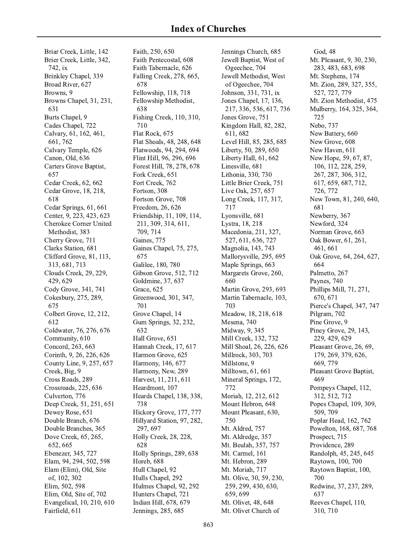Briar Creek, Little, 142 Brier Creek, Little, 342, 742, ix Brinkley Chapel, 339 Broad River, 627 Browns, 9 Browns Chapel, 31, 231, 631 Burts Chapel, 9 Cades Chapel, 722 Calvary, 61, 162, 461, 661,762 Calvary Temple, 626 Canon, Old, 636 Carters Grove Baptist, 657 Cedar Creek, 62, 662 Cedar Grove, 18, 218, 618 Cedar Springs, 61, 661 Center, 9, 223, 423, 623 Cherokee Corner United Methodist, 383 Cherry Grove, 711 Clarks Station, 681 Clifford Grove, 81, 113, 313, 681, 713 Clouds Creek, 29, 229, 429, 629 Cody Grove, 341, 741 Cokesbury, 275, 289, 675 Colbert Grove, 12, 212, 612 Coldwater, 76, 276, 676 Community, 610 Concord, 263, 663 Corinth, 9, 26, 226, 626 County Line, 9, 257, 657 Creek, Big, 9 Cross Roads, 289 Crossroads, 225, 636 Culverton, 776 Deep Creek, 51, 251, 651 Dewey Rose, 651 Double Branch, 676 Double Branches, 365 Dove Creek, 65, 265, 652, 665 Ebenezer, 345, 727 Elam, 94, 294, 502, 598 Elam (Elim), Old, Site of, 102, 302 Elim, 502, 598 Elim, Old, Site of, 702 Evangelical, 10, 210, 610 Fairfield, 611

Faith, 250, 650 Faith Pentecostal, 608 Faith Tabernacle, 626 Falling Creek, 278, 665, 678 Fellowship, 118, 718 Fellowship Methodist, 638 Fishing Creek, 110, 310, 710 Flat Rock, 675 Flat Shoals, 48, 248, 648 Flatwoods, 94, 294, 694 Flint Hill, 96, 296, 696 Forest Hill, 78, 278, 678 Fork Creek, 651 Fort Creek, 762 Fortson, 308 Fortson Grove, 708 Freedom, 26, 626 Friendship, 11, 109, 114, 211, 309, 314, 611, 709, 714 Gaines, 775 Gaines Chapel, 75, 275, 675 Galilee, 180, 780 Gibson Grove, 512, 712 Goldmine, 37, 637 Grace, 625 Greenwood, 301, 347, 701 Grove Chapel, 14 Gum Springs, 32, 232, 632 Hall Grove, 651 Hannah Creek, 17, 617 Harmon Grove, 625 Harmony, 146, 677 Harmony, New, 289 Harvest, 11, 211, 611 Heardmont, 107 Heards Chapel, 138, 338, 738 Hickory Grove, 177, 777 Hillyard Station, 97, 282, 297, 697 Holly Creek, 28, 228, 628 Holly Springs, 289, 638 Horeb, 688 Hull Chapel, 92 Hulls Chapel, 292 Hulmes Chapel, 92, 292 Hunters Chapel, 721 Indian Hill, 678, 679 Jennings, 285, 685

Jennings Church, 685 Jewell Baptist, West of Ogeechee, 704 Jewell Methodist, West of Ogeechee, 704 Johnson, 331, 731, ix Jones Chapel, 17, 136, 217, 336, 536, 617, 736 Jones Grove, 751 Kingdom Hall, 82, 282, 611, 682 Level Hill, 85, 285, 685 Liberty, 50, 289, 650 Liberty Hall, 61, 662 Linesville, 681 Lithonia, 330, 730 Little Brier Creek, 751 Live Oak, 257, 657 Long Creek, 117, 317, 717 Lyonsville, 681 Lystra, 18, 218 Macedonia, 211, 327, 527, 611, 636, 727 Magnolia, 143, 743 Mallorysville, 295, 695 Maple Springs, 663 Margarets Grove, 260, 660 Martin Grove, 293, 693 Martin Tabernacle, 103, 703 Meadow, 18, 218, 618 Mesena, 740 Midway, 9, 345 Mill Creek, 132, 732 Mill Shoal, 26, 226, 626 Millrock, 303, 703 Millstone, 9 Milltown, 61, 661 Mineral Springs, 172, 772 Moriah, 12, 212, 612 Mount Hebron, 648 Mount Pleasant, 630, 750 Mt. Aldred, 757 Mt. Aldredge, 357 Mt. Beulah, 357, 757 Mt. Carmel, 161 Mt. Hebron, 289 Mt. Moriah, 717 Mt. Olive, 30, 59, 230, 259, 299, 430, 630, 659.699 Mt. Olivet, 48, 648 Mt. Olivet Church of

God, 48 Mt. Pleasant, 9, 30, 230, 283, 483, 683, 698 Mt. Stephens, 174 Mt. Zion, 289, 327, 355, 527, 727, 779 Mt. Zion Methodist, 475 Mulberry, 164, 325, 364, 725 Nebo, 737 New Battery, 660 New Grove, 608 New Haven, 611 New Hope, 59, 67, 87, 106, 112, 228, 259, 267, 287, 306, 312, 617, 659, 687, 712, 726, 772 New Town, 81, 240, 640, 681 Newberry, 367 Newford, 324 Norman Grove, 663 Oak Bower, 61, 261, 461, 661 Oak Grove, 64, 264, 627, 664 Palmetto, 267 Paynes, 740 Phillips Mill, 71, 271, 670, 671 Pierce's Chapel, 347, 747 Pilgram, 702 Pine Grove, 9 Piney Grove, 29, 143, 229, 429, 629 Pleasant Grove, 26, 69, 179, 269, 379, 626, 669, 779 Pleasant Grove Baptist, 469 Pompeys Chapel, 112, 312, 512, 712 Popes Chapel, 109, 309, 509, 709 Poplar Head, 162, 762 Powelton, 168, 687, 768 Prospect, 715 Providence, 289 Randolph, 45, 245, 645 Raytown, 100, 700 Raytown Baptist, 100, 700 Redwine, 37, 237, 289, 637 Reeves Chapel, 110, 310, 710